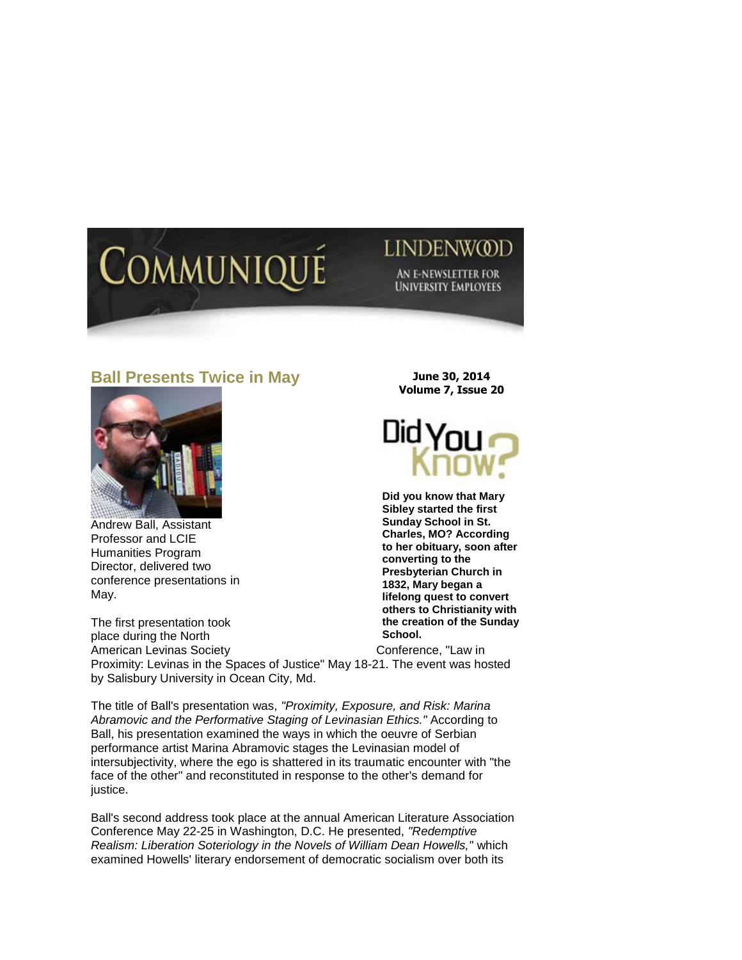## Communiqu

## LINDENWOOD

AN E-NEWSLETTER FOR **UNIVERSITY EMPLOYEES** 

## **Ball Presents Twice in May**



Andrew Ball, Assistant Professor and LCIE Humanities Program Director, delivered two conference presentations in May.

The first presentation took place during the North American Levinas Society **Conference**, "Law in Proximity: Levinas in the Spaces of Justice" May 18-21. The event was hosted by Salisbury University in Ocean City, Md. **School.** 

The title of Ball's presentation was, *"Proximity, Exposure, and Risk: Marina Abramovic and the Performative Staging of Levinasian Ethics."* According to Ball, his presentation examined the ways in which the oeuvre of Serbian performance artist Marina Abramovic stages the Levinasian model of intersubjectivity, where the ego is shattered in its traumatic encounter with "the face of the other" and reconstituted in response to the other's demand for justice.

Ball's second address took place at the annual American Literature Association Conference May 22-25 in Washington, D.C. He presented, *"Redemptive Realism: Liberation Soteriology in the Novels of William Dean Howells,"* which examined Howells' literary endorsement of democratic socialism over both its

**June 30, 2014 Volume 7, Issue 20**



**Did you know that Mary Sibley started the first Sunday School in St. Charles, MO? According to her obituary, soon after converting to the Presbyterian Church in 1832, Mary began a lifelong quest to convert others to Christianity with the creation of the Sunday**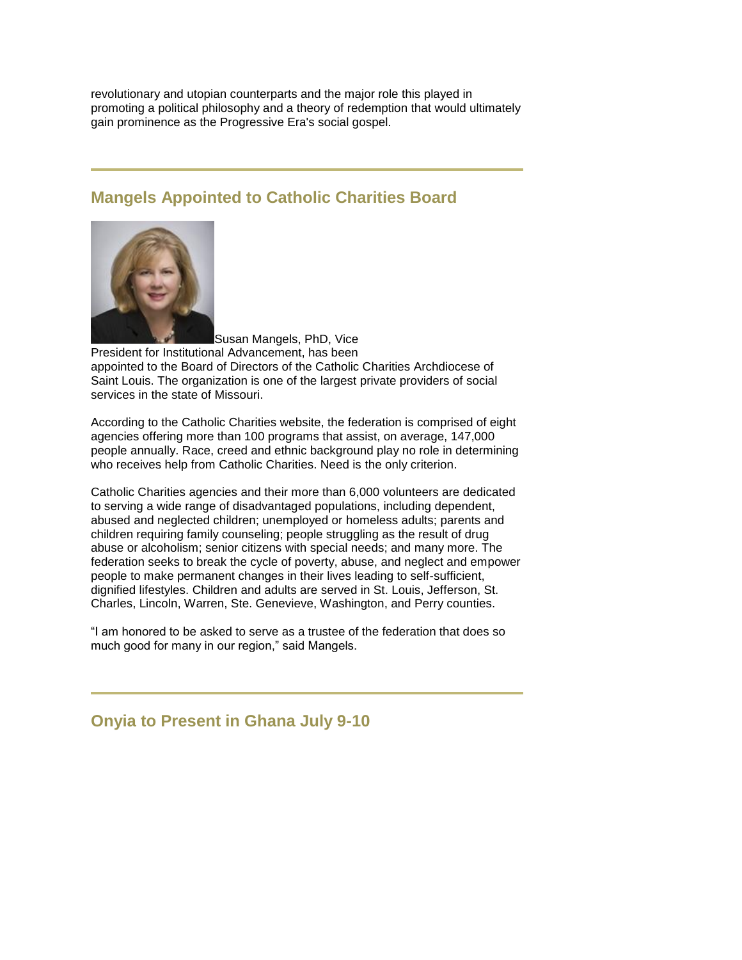revolutionary and utopian counterparts and the major role this played in promoting a political philosophy and a theory of redemption that would ultimately gain prominence as the Progressive Era's social gospel.

## **Mangels Appointed to Catholic Charities Board**



Susan Mangels, PhD, Vice President for Institutional Advancement, has been appointed to the Board of Directors of the Catholic Charities Archdiocese of Saint Louis. The organization is one of the largest private providers of social services in the state of Missouri.

According to the Catholic Charities website, the federation is comprised of eight agencies offering more than 100 programs that assist, on average, 147,000 people annually. Race, creed and ethnic background play no role in determining who receives help from Catholic Charities. Need is the only criterion.

Catholic Charities agencies and their more than 6,000 volunteers are dedicated to serving a wide range of disadvantaged populations, including dependent, abused and neglected children; unemployed or homeless adults; parents and children requiring family counseling; people struggling as the result of drug abuse or alcoholism; senior citizens with special needs; and many more. The federation seeks to break the cycle of poverty, abuse, and neglect and empower people to make permanent changes in their lives leading to self-sufficient, dignified lifestyles. Children and adults are served in St. Louis, Jefferson, St. Charles, Lincoln, Warren, Ste. Genevieve, Washington, and Perry counties.

"I am honored to be asked to serve as a trustee of the federation that does so much good for many in our region," said Mangels.

**Onyia to Present in Ghana July 9-10**